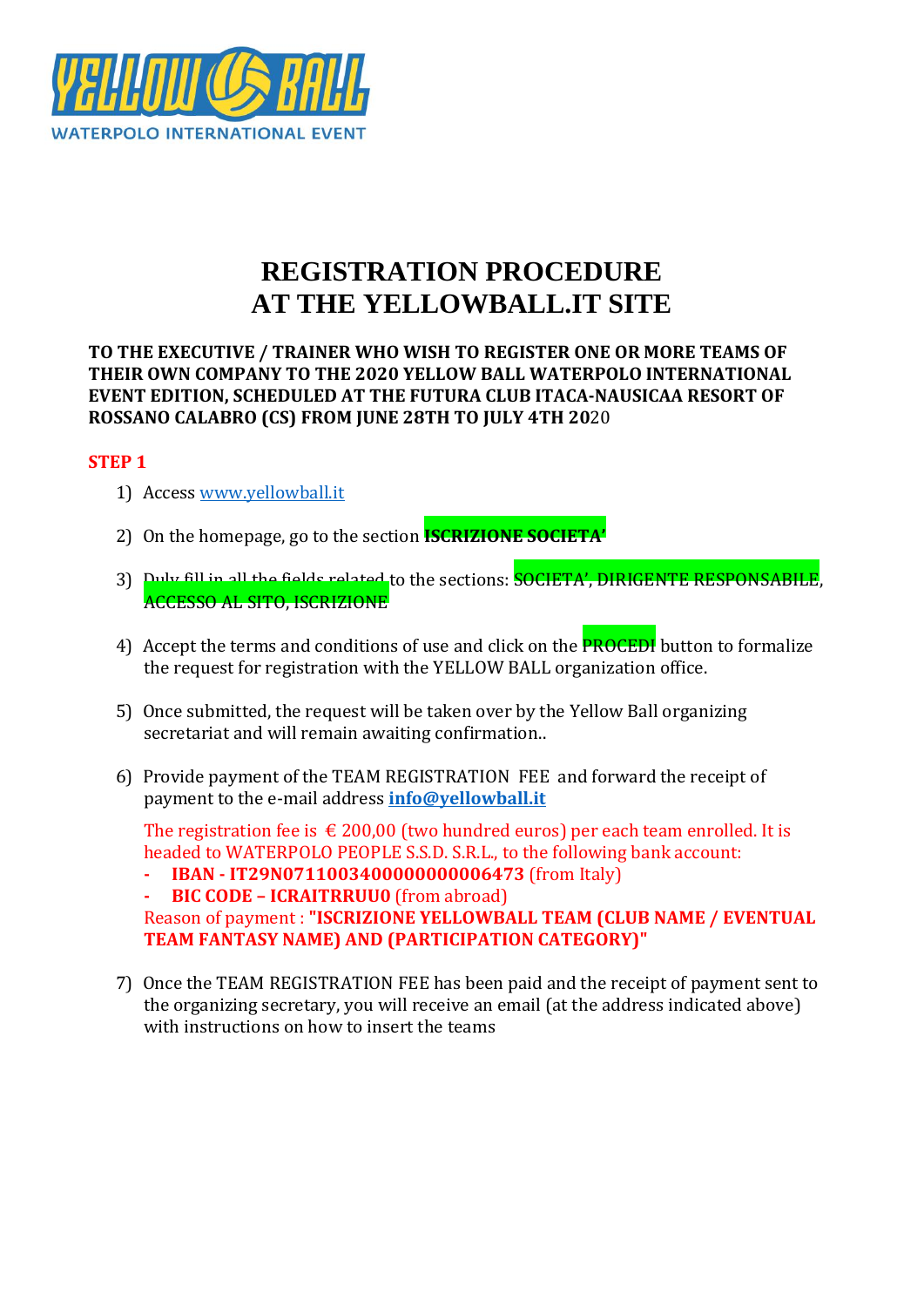

# **REGISTRATION PROCEDURE AT THE YELLOWBALL.IT SITE**

**TO THE EXECUTIVE / TRAINER WHO WISH TO REGISTER ONE OR MORE TEAMS OF THEIR OWN COMPANY TO THE 2020 YELLOW BALL WATERPOLO INTERNATIONAL EVENT EDITION, SCHEDULED AT THE FUTURA CLUB ITACA-NAUSICAA RESORT OF ROSSANO CALABRO (CS) FROM JUNE 28TH TO JULY 4TH 20**20

### **STEP 1**

- 1) Access [www.yellowball.it](http://www.yellowball.it/)
- 2) On the homepage, go to the section **ISCRIZIONE SOCIETA'**
- 3) Duly fill in all the fields related to the sections: SOCIETA', DIRIGENTE RESPONSABILE, ACCESSO AL SITO, ISCRIZIONE
- 4) Accept the terms and conditions of use and click on the **PROCEDI** button to formalize the request for registration with the YELLOW BALL organization office.
- 5) Once submitted, the request will be taken over by the Yellow Ball organizing secretariat and will remain awaiting confirmation..
- 6) Provide payment of the TEAM REGISTRATION FEE and forward the receipt of payment to the e-mail address **[info@yellowball.it](mailto:info@yellowball.it)**

The registration fee is  $\leq 200,00$  (two hundred euros) per each team enrolled. It is headed to WATERPOLO PEOPLE S.S.D. S.R.L., to the following bank account:

**- IBAN - IT29N0711003400000000006473** (from Italy)

**- BIC CODE – ICRAITRRUU0** (from abroad)

Reason of payment : **"ISCRIZIONE YELLOWBALL TEAM (CLUB NAME / EVENTUAL TEAM FANTASY NAME) AND (PARTICIPATION CATEGORY)"**

7) Once the TEAM REGISTRATION FEE has been paid and the receipt of payment sent to the organizing secretary, you will receive an email (at the address indicated above) with instructions on how to insert the teams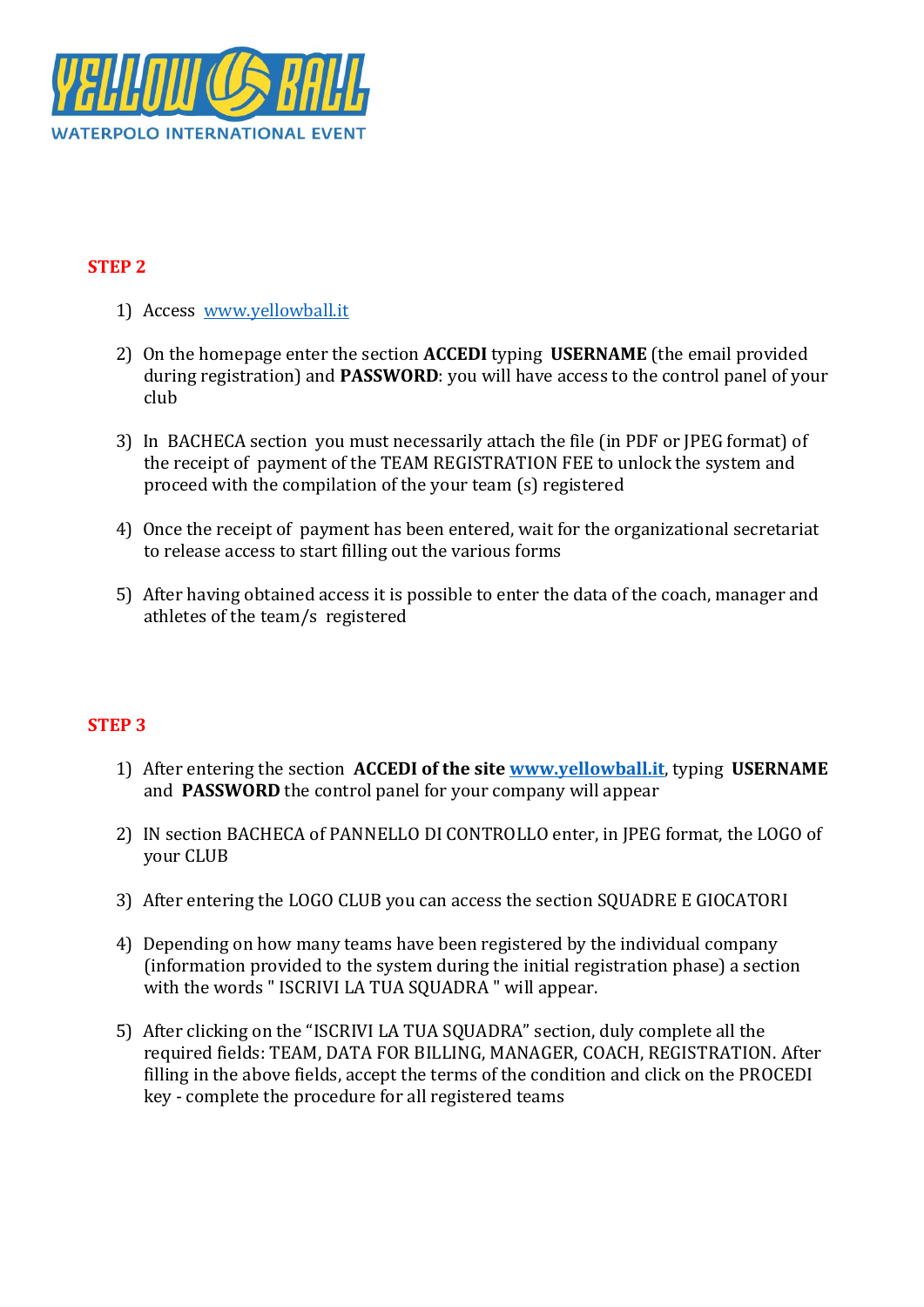

## **STEP 2**

- 1) Access [www.yellowball.it](http://www.yellowball.it/)
- 2) On the homepage enter the section **ACCEDI** typing **USERNAME** (the email provided during registration) and **PASSWORD**: you will have access to the control panel of your club
- 3) In BACHECA section you must necessarily attach the file (in PDF or JPEG format) of the receipt of payment of the TEAM REGISTRATION FEE to unlock the system and proceed with the compilation of the your team (s) registered
- 4) Once the receipt of payment has been entered, wait for the organizational secretariat to release access to start filling out the various forms
- 5) After having obtained access it is possible to enter the data of the coach, manager and athletes of the team/s registered

## **STEP 3**

- 1) After entering the section **ACCEDI of the site [www.yellowball.it](http://www.yellowball.it/)**, typing **USERNAME** and **PASSWORD** the control panel for your company will appear
- 2) IN section BACHECA of PANNELLO DI CONTROLLO enter, in JPEG format, the LOGO of your CLUB
- 3) After entering the LOGO CLUB you can access the section SQUADRE E GIOCATORI
- 4) Depending on how many teams have been registered by the individual company (information provided to the system during the initial registration phase) a section with the words "ISCRIVI LA TUA SOUADRA " will appear.
- 5) After clicking on the "ISCRIVI LA TUA SQUADRA" section, duly complete all the required fields: TEAM, DATA FOR BILLING, MANAGER, COACH, REGISTRATION. After filling in the above fields, accept the terms of the condition and click on the PROCEDI key - complete the procedure for all registered teams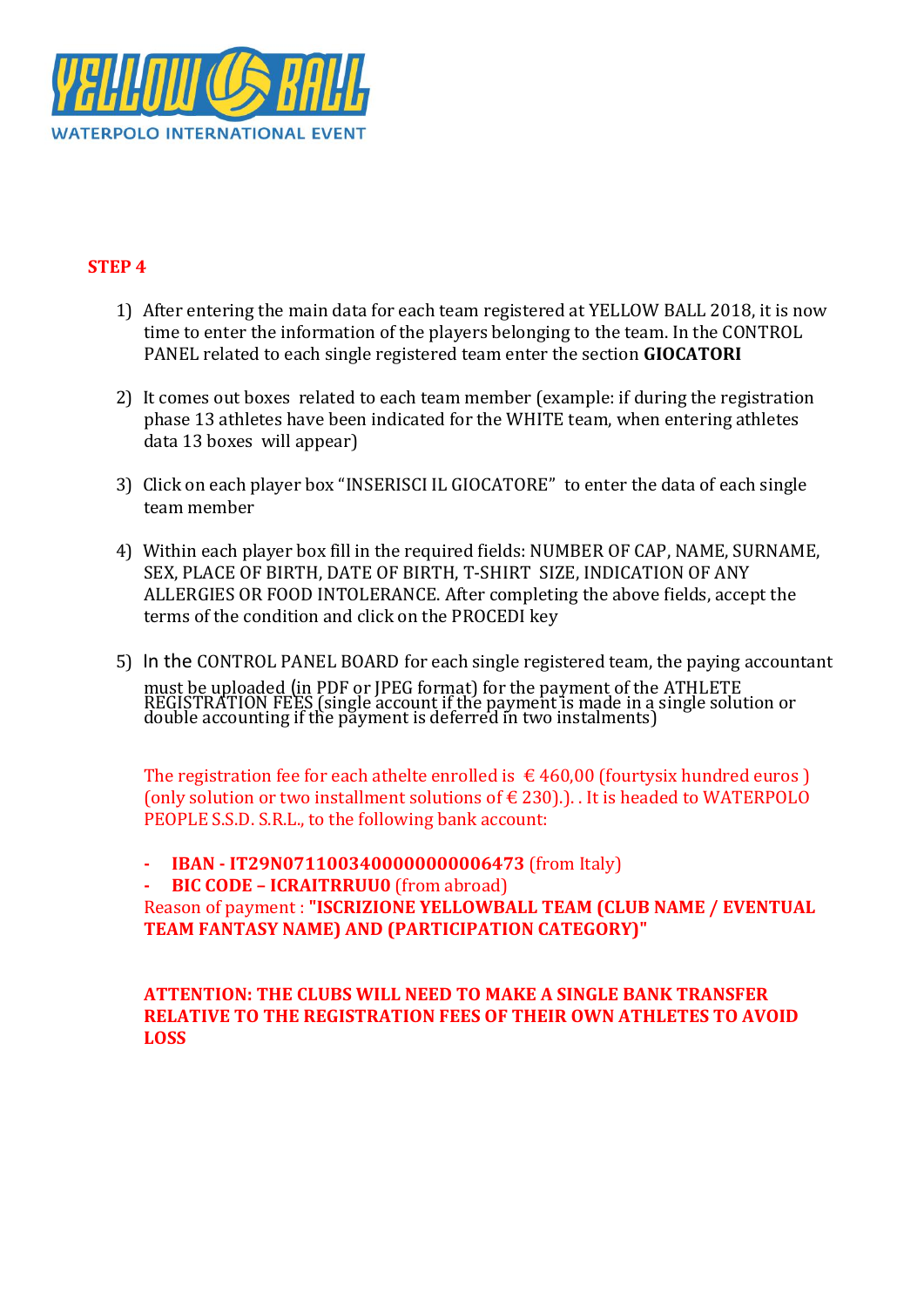

### **STEP 4**

- 1) After entering the main data for each team registered at YELLOW BALL 2018, it is now time to enter the information of the players belonging to the team. In the CONTROL PANEL related to each single registered team enter the section **GIOCATORI**
- 2) It comes out boxes related to each team member (example: if during the registration phase 13 athletes have been indicated for the WHITE team, when entering athletes data 13 boxes will appear)
- 3) Click on each player box "INSERISCI IL GIOCATORE" to enter the data of each single team member
- 4) Within each player box fill in the required fields: NUMBER OF CAP, NAME, SURNAME, SEX, PLACE OF BIRTH, DATE OF BIRTH, T-SHIRT SIZE, INDICATION OF ANY ALLERGIES OR FOOD INTOLERANCE. After completing the above fields, accept the terms of the condition and click on the PROCEDI key
- 5) In the CONTROL PANEL BOARD for each single registered team, the paying accountant must be uploaded (in PDF or JPEG format) for the payment of the ATHLETE REGISTRATION FEES (single account if the payment is made in a single solution or double accounting if the payment is deferred in two instalments)

The registration fee for each athelte enrolled is  $\epsilon$  460,00 (fourtysix hundred euros) (only solution or two installment solutions of  $\epsilon$  230).). It is headed to WATERPOLO PEOPLE S.S.D. S.R.L., to the following bank account:

**- IBAN - IT29N0711003400000000006473** (from Italy) **- BIC CODE – ICRAITRRUU0** (from abroad) Reason of payment : **"ISCRIZIONE YELLOWBALL TEAM (CLUB NAME / EVENTUAL TEAM FANTASY NAME) AND (PARTICIPATION CATEGORY)"**

### **ATTENTION: THE CLUBS WILL NEED TO MAKE A SINGLE BANK TRANSFER RELATIVE TO THE REGISTRATION FEES OF THEIR OWN ATHLETES TO AVOID LOSS**